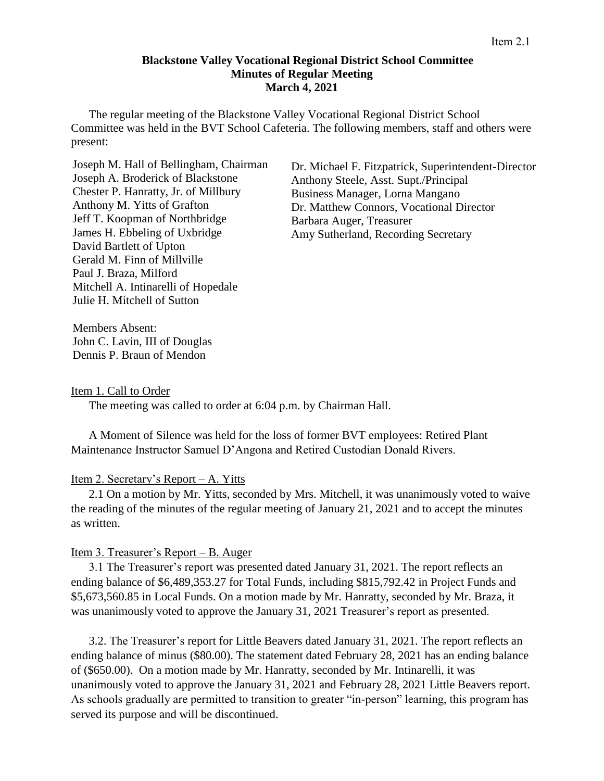### **Blackstone Valley Vocational Regional District School Committee Minutes of Regular Meeting March 4, 2021**

The regular meeting of the Blackstone Valley Vocational Regional District School Committee was held in the BVT School Cafeteria. The following members, staff and others were present:

Joseph M. Hall of Bellingham, Chairman Joseph A. Broderick of Blackstone Chester P. Hanratty, Jr. of Millbury Anthony M. Yitts of Grafton Jeff T. Koopman of Northbridge James H. Ebbeling of Uxbridge David Bartlett of Upton Gerald M. Finn of Millville Paul J. Braza, Milford Mitchell A. Intinarelli of Hopedale Julie H. Mitchell of Sutton

Dr. Michael F. Fitzpatrick, Superintendent-Director Anthony Steele, Asst. Supt./Principal Business Manager, Lorna Mangano Dr. Matthew Connors, Vocational Director Barbara Auger, Treasurer Amy Sutherland, Recording Secretary

Members Absent: John C. Lavin, III of Douglas Dennis P. Braun of Mendon

#### Item 1. Call to Order

The meeting was called to order at 6:04 p.m. by Chairman Hall.

A Moment of Silence was held for the loss of former BVT employees: Retired Plant Maintenance Instructor Samuel D'Angona and Retired Custodian Donald Rivers.

### Item 2. Secretary's Report – A. Yitts

2.1 On a motion by Mr. Yitts, seconded by Mrs. Mitchell, it was unanimously voted to waive the reading of the minutes of the regular meeting of January 21, 2021 and to accept the minutes as written.

# Item 3. Treasurer's Report – B. Auger

3.1 The Treasurer's report was presented dated January 31, 2021. The report reflects an ending balance of \$6,489,353.27 for Total Funds, including \$815,792.42 in Project Funds and \$5,673,560.85 in Local Funds. On a motion made by Mr. Hanratty, seconded by Mr. Braza, it was unanimously voted to approve the January 31, 2021 Treasurer's report as presented.

3.2. The Treasurer's report for Little Beavers dated January 31, 2021. The report reflects an ending balance of minus (\$80.00). The statement dated February 28, 2021 has an ending balance of (\$650.00). On a motion made by Mr. Hanratty, seconded by Mr. Intinarelli, it was unanimously voted to approve the January 31, 2021 and February 28, 2021 Little Beavers report. As schools gradually are permitted to transition to greater "in-person" learning, this program has served its purpose and will be discontinued.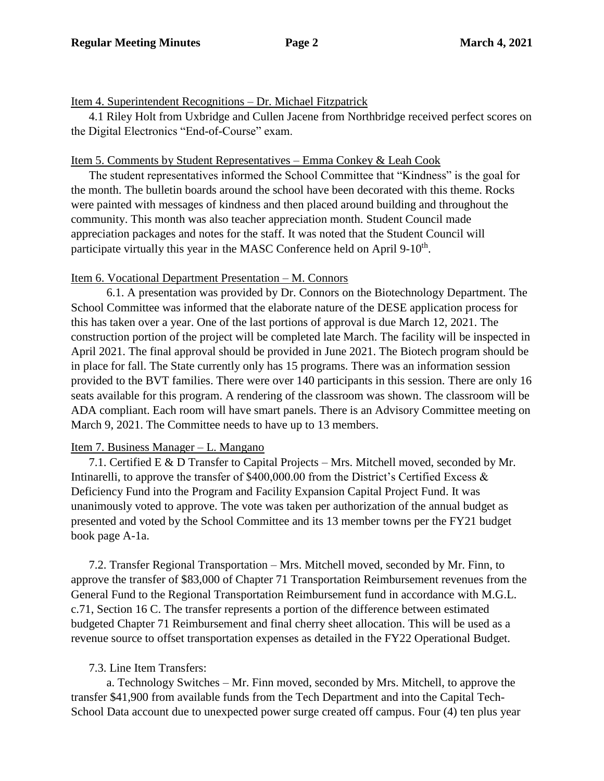## Item 4. Superintendent Recognitions – Dr. Michael Fitzpatrick

4.1 Riley Holt from Uxbridge and Cullen Jacene from Northbridge received perfect scores on the Digital Electronics "End-of-Course" exam.

## Item 5. Comments by Student Representatives – Emma Conkey & Leah Cook

The student representatives informed the School Committee that "Kindness" is the goal for the month. The bulletin boards around the school have been decorated with this theme. Rocks were painted with messages of kindness and then placed around building and throughout the community. This month was also teacher appreciation month. Student Council made appreciation packages and notes for the staff. It was noted that the Student Council will participate virtually this year in the MASC Conference held on April 9-10<sup>th</sup>.

### Item 6. Vocational Department Presentation – M. Connors

6.1. A presentation was provided by Dr. Connors on the Biotechnology Department. The School Committee was informed that the elaborate nature of the DESE application process for this has taken over a year. One of the last portions of approval is due March 12, 2021. The construction portion of the project will be completed late March. The facility will be inspected in April 2021. The final approval should be provided in June 2021. The Biotech program should be in place for fall. The State currently only has 15 programs. There was an information session provided to the BVT families. There were over 140 participants in this session. There are only 16 seats available for this program. A rendering of the classroom was shown. The classroom will be ADA compliant. Each room will have smart panels. There is an Advisory Committee meeting on March 9, 2021. The Committee needs to have up to 13 members.

### Item 7. Business Manager – L. Mangano

7.1. Certified E & D Transfer to Capital Projects – Mrs. Mitchell moved, seconded by Mr. Intinarelli, to approve the transfer of \$400,000.00 from the District's Certified Excess & Deficiency Fund into the Program and Facility Expansion Capital Project Fund. It was unanimously voted to approve. The vote was taken per authorization of the annual budget as presented and voted by the School Committee and its 13 member towns per the FY21 budget book page A-1a.

7.2. Transfer Regional Transportation – Mrs. Mitchell moved, seconded by Mr. Finn, to approve the transfer of \$83,000 of Chapter 71 Transportation Reimbursement revenues from the General Fund to the Regional Transportation Reimbursement fund in accordance with M.G.L. c.71, Section 16 C. The transfer represents a portion of the difference between estimated budgeted Chapter 71 Reimbursement and final cherry sheet allocation. This will be used as a revenue source to offset transportation expenses as detailed in the FY22 Operational Budget.

# 7.3. Line Item Transfers:

a. Technology Switches – Mr. Finn moved, seconded by Mrs. Mitchell, to approve the transfer \$41,900 from available funds from the Tech Department and into the Capital Tech-School Data account due to unexpected power surge created off campus. Four (4) ten plus year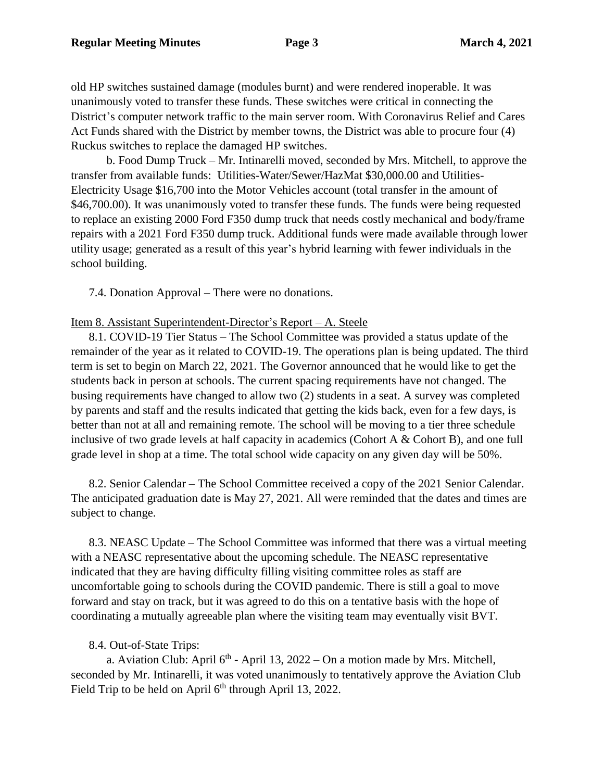old HP switches sustained damage (modules burnt) and were rendered inoperable. It was unanimously voted to transfer these funds. These switches were critical in connecting the District's computer network traffic to the main server room. With Coronavirus Relief and Cares Act Funds shared with the District by member towns, the District was able to procure four (4) Ruckus switches to replace the damaged HP switches.

b. Food Dump Truck – Mr. Intinarelli moved, seconded by Mrs. Mitchell, to approve the transfer from available funds: Utilities-Water/Sewer/HazMat \$30,000.00 and Utilities-Electricity Usage \$16,700 into the Motor Vehicles account (total transfer in the amount of \$46,700.00). It was unanimously voted to transfer these funds. The funds were being requested to replace an existing 2000 Ford F350 dump truck that needs costly mechanical and body/frame repairs with a 2021 Ford F350 dump truck. Additional funds were made available through lower utility usage; generated as a result of this year's hybrid learning with fewer individuals in the school building.

7.4. Donation Approval – There were no donations.

### Item 8. Assistant Superintendent-Director's Report – A. Steele

8.1. COVID-19 Tier Status – The School Committee was provided a status update of the remainder of the year as it related to COVID-19. The operations plan is being updated. The third term is set to begin on March 22, 2021. The Governor announced that he would like to get the students back in person at schools. The current spacing requirements have not changed. The busing requirements have changed to allow two (2) students in a seat. A survey was completed by parents and staff and the results indicated that getting the kids back, even for a few days, is better than not at all and remaining remote. The school will be moving to a tier three schedule inclusive of two grade levels at half capacity in academics (Cohort A & Cohort B), and one full grade level in shop at a time. The total school wide capacity on any given day will be 50%.

8.2. Senior Calendar – The School Committee received a copy of the 2021 Senior Calendar. The anticipated graduation date is May 27, 2021. All were reminded that the dates and times are subject to change.

8.3. NEASC Update – The School Committee was informed that there was a virtual meeting with a NEASC representative about the upcoming schedule. The NEASC representative indicated that they are having difficulty filling visiting committee roles as staff are uncomfortable going to schools during the COVID pandemic. There is still a goal to move forward and stay on track, but it was agreed to do this on a tentative basis with the hope of coordinating a mutually agreeable plan where the visiting team may eventually visit BVT.

# 8.4. Out-of-State Trips:

a. Aviation Club: April  $6<sup>th</sup>$  - April 13, 2022 – On a motion made by Mrs. Mitchell, seconded by Mr. Intinarelli, it was voted unanimously to tentatively approve the Aviation Club Field Trip to be held on April  $6<sup>th</sup>$  through April 13, 2022.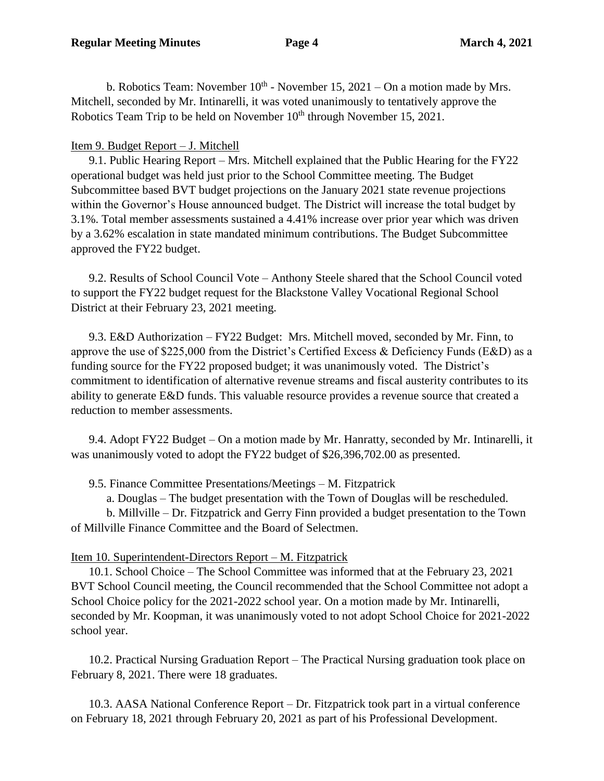b. Robotics Team: November  $10^{th}$  - November 15, 2021 – On a motion made by Mrs. Mitchell, seconded by Mr. Intinarelli, it was voted unanimously to tentatively approve the Robotics Team Trip to be held on November 10<sup>th</sup> through November 15, 2021.

# Item 9. Budget Report – J. Mitchell

9.1. Public Hearing Report – Mrs. Mitchell explained that the Public Hearing for the FY22 operational budget was held just prior to the School Committee meeting. The Budget Subcommittee based BVT budget projections on the January 2021 state revenue projections within the Governor's House announced budget. The District will increase the total budget by 3.1%. Total member assessments sustained a 4.41% increase over prior year which was driven by a 3.62% escalation in state mandated minimum contributions. The Budget Subcommittee approved the FY22 budget.

9.2. Results of School Council Vote – Anthony Steele shared that the School Council voted to support the FY22 budget request for the Blackstone Valley Vocational Regional School District at their February 23, 2021 meeting.

9.3. E&D Authorization – FY22 Budget: Mrs. Mitchell moved, seconded by Mr. Finn, to approve the use of \$225,000 from the District's Certified Excess & Deficiency Funds (E&D) as a funding source for the FY22 proposed budget; it was unanimously voted. The District's commitment to identification of alternative revenue streams and fiscal austerity contributes to its ability to generate E&D funds. This valuable resource provides a revenue source that created a reduction to member assessments.

9.4. Adopt FY22 Budget – On a motion made by Mr. Hanratty, seconded by Mr. Intinarelli, it was unanimously voted to adopt the FY22 budget of \$26,396,702.00 as presented.

9.5. Finance Committee Presentations/Meetings – M. Fitzpatrick

a. Douglas – The budget presentation with the Town of Douglas will be rescheduled.

b. Millville – Dr. Fitzpatrick and Gerry Finn provided a budget presentation to the Town of Millville Finance Committee and the Board of Selectmen.

# Item 10. Superintendent-Directors Report – M. Fitzpatrick

10.1. School Choice – The School Committee was informed that at the February 23, 2021 BVT School Council meeting, the Council recommended that the School Committee not adopt a School Choice policy for the 2021-2022 school year. On a motion made by Mr. Intinarelli, seconded by Mr. Koopman, it was unanimously voted to not adopt School Choice for 2021-2022 school year.

10.2. Practical Nursing Graduation Report – The Practical Nursing graduation took place on February 8, 2021. There were 18 graduates.

10.3. AASA National Conference Report – Dr. Fitzpatrick took part in a virtual conference on February 18, 2021 through February 20, 2021 as part of his Professional Development.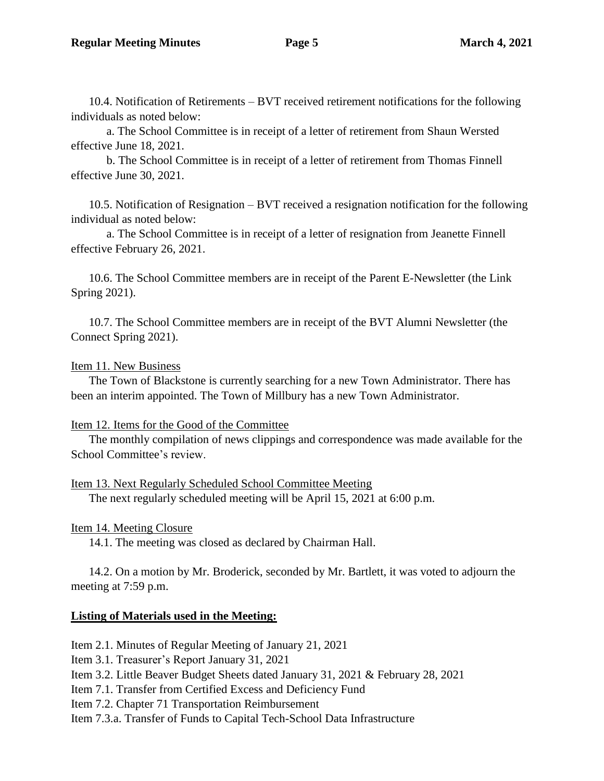10.4. Notification of Retirements – BVT received retirement notifications for the following individuals as noted below:

a. The School Committee is in receipt of a letter of retirement from Shaun Wersted effective June 18, 2021.

b. The School Committee is in receipt of a letter of retirement from Thomas Finnell effective June 30, 2021.

10.5. Notification of Resignation – BVT received a resignation notification for the following individual as noted below:

a. The School Committee is in receipt of a letter of resignation from Jeanette Finnell effective February 26, 2021.

10.6. The School Committee members are in receipt of the Parent E-Newsletter (the Link Spring 2021).

10.7. The School Committee members are in receipt of the BVT Alumni Newsletter (the Connect Spring 2021).

# Item 11. New Business

The Town of Blackstone is currently searching for a new Town Administrator. There has been an interim appointed. The Town of Millbury has a new Town Administrator.

# Item 12. Items for the Good of the Committee

The monthly compilation of news clippings and correspondence was made available for the School Committee's review.

Item 13. Next Regularly Scheduled School Committee Meeting The next regularly scheduled meeting will be April 15, 2021 at 6:00 p.m.

# Item 14. Meeting Closure

14.1. The meeting was closed as declared by Chairman Hall.

14.2. On a motion by Mr. Broderick, seconded by Mr. Bartlett, it was voted to adjourn the meeting at 7:59 p.m.

# **Listing of Materials used in the Meeting:**

Item 2.1. Minutes of Regular Meeting of January 21, 2021

Item 3.1. Treasurer's Report January 31, 2021

Item 3.2. Little Beaver Budget Sheets dated January 31, 2021 & February 28, 2021

Item 7.1. Transfer from Certified Excess and Deficiency Fund

Item 7.2. Chapter 71 Transportation Reimbursement

Item 7.3.a. Transfer of Funds to Capital Tech-School Data Infrastructure